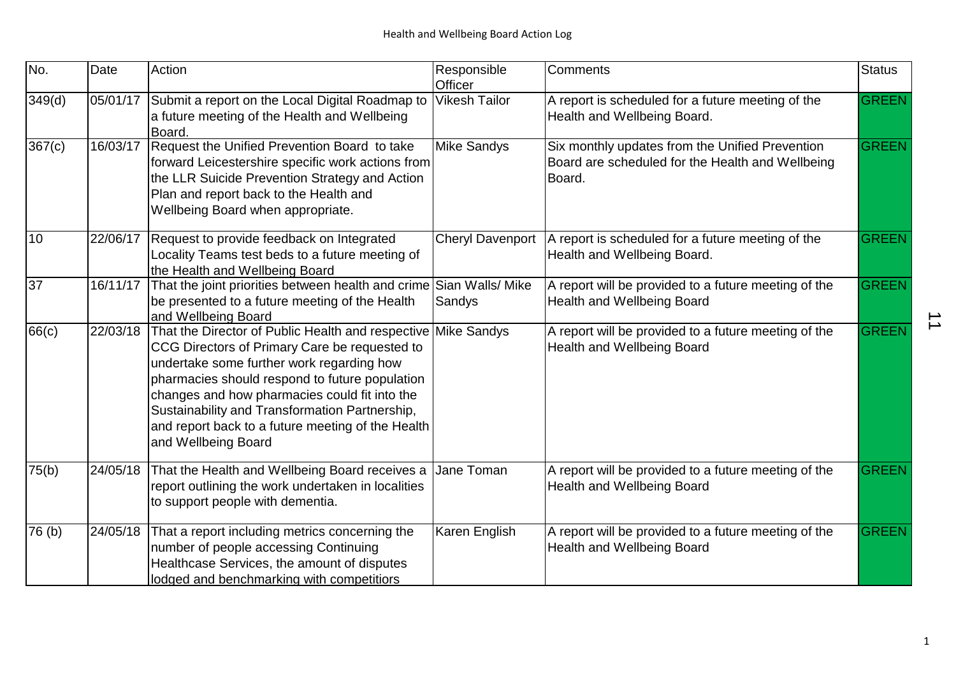| No.               | Date     | Action                                                                                                                                                                                                                                                                                                                                                                                       | Responsible<br>Officer  | <b>Comments</b>                                                                                               | <b>Status</b> |
|-------------------|----------|----------------------------------------------------------------------------------------------------------------------------------------------------------------------------------------------------------------------------------------------------------------------------------------------------------------------------------------------------------------------------------------------|-------------------------|---------------------------------------------------------------------------------------------------------------|---------------|
| 349(d)            | 05/01/17 | Submit a report on the Local Digital Roadmap to<br>a future meeting of the Health and Wellbeing<br>Board.                                                                                                                                                                                                                                                                                    | <b>Vikesh Tailor</b>    | A report is scheduled for a future meeting of the<br>Health and Wellbeing Board.                              | <b>GREEN</b>  |
| 367(c)            | 16/03/17 | Request the Unified Prevention Board to take<br>forward Leicestershire specific work actions from<br>the LLR Suicide Prevention Strategy and Action<br>Plan and report back to the Health and<br>Wellbeing Board when appropriate.                                                                                                                                                           | <b>Mike Sandys</b>      | Six monthly updates from the Unified Prevention<br>Board are scheduled for the Health and Wellbeing<br>Board. | <b>GREEN</b>  |
| 10                | 22/06/17 | Request to provide feedback on Integrated<br>Locality Teams test beds to a future meeting of<br>the Health and Wellbeing Board                                                                                                                                                                                                                                                               | <b>Cheryl Davenport</b> | A report is scheduled for a future meeting of the<br>Health and Wellbeing Board.                              | <b>GREEN</b>  |
| 37                | 16/11/17 | That the joint priorities between health and crime Sian Walls/ Mike<br>be presented to a future meeting of the Health<br>and Wellbeing Board                                                                                                                                                                                                                                                 | Sandys                  | A report will be provided to a future meeting of the<br><b>Health and Wellbeing Board</b>                     | <b>GREEN</b>  |
| 66(c)             | 22/03/18 | That the Director of Public Health and respective Mike Sandys<br>CCG Directors of Primary Care be requested to<br>undertake some further work regarding how<br>pharmacies should respond to future population<br>changes and how pharmacies could fit into the<br>Sustainability and Transformation Partnership,<br>and report back to a future meeting of the Health<br>and Wellbeing Board |                         | A report will be provided to a future meeting of the<br><b>Health and Wellbeing Board</b>                     | <b>GREEN</b>  |
| 75(b)             | 24/05/18 | That the Health and Wellbeing Board receives a<br>report outlining the work undertaken in localities<br>to support people with dementia.                                                                                                                                                                                                                                                     | Jane Toman              | A report will be provided to a future meeting of the<br><b>Health and Wellbeing Board</b>                     | <b>GREEN</b>  |
| 76 <sub>(b)</sub> | 24/05/18 | That a report including metrics concerning the<br>number of people accessing Continuing<br>Healthcase Services, the amount of disputes<br>lodged and benchmarking with competitiors                                                                                                                                                                                                          | Karen English           | A report will be provided to a future meeting of the<br><b>Health and Wellbeing Board</b>                     | <b>GREEN</b>  |

 $\overrightarrow{1}$